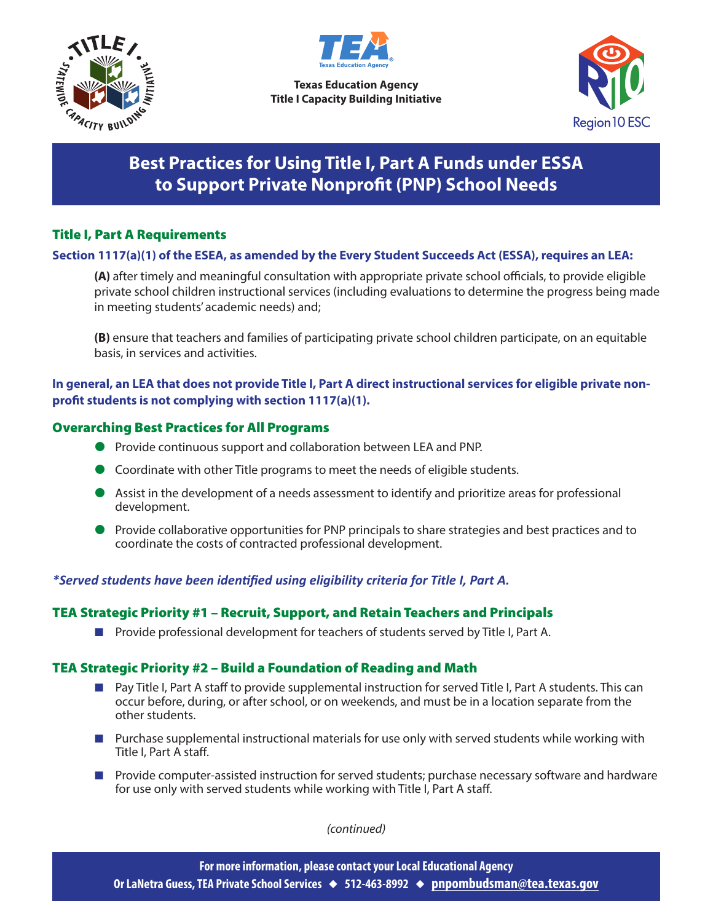



**Texas Education Agency Title I Capacity Building Initiative**



# **Best Practices for Using Title I, Part A Funds under ESSA to Support Private Nonprofit (PNP) School Needs**

## Title I, Part A Requirements

### **Section 1117(a)(1) of the ESEA, as amended by the Every Student Succeeds Act (ESSA), requires an LEA:**

**(A)** after timely and meaningful consultation with appropriate private school officials, to provide eligible private school children instructional services (including evaluations to determine the progress being made in meeting students' academic needs) and;

**(B)** ensure that teachers and families of participating private school children participate, on an equitable basis, in services and activities.

## **In general, an LEA that does not provide Title I, Part A direct instructional services for eligible private nonprofit students is not complying with section 1117(a)(1).**

### Overarching Best Practices for All Programs

- **Provide continuous support and collaboration between LEA and PNP.**
- Coordinate with other Title programs to meet the needs of eligible students.
- Assist in the development of a needs assessment to identify and prioritize areas for professional development.
- **•** Provide collaborative opportunities for PNP principals to share strategies and best practices and to coordinate the costs of contracted professional development.

## *\*Served students have been identified using eligibility criteria for Title I, Part A.*

#### TEA Strategic Priority #1 – Recruit, Support, and Retain Teachers and Principals

■ Provide professional development for teachers of students served by Title I, Part A.

#### TEA Strategic Priority #2 – Build a Foundation of Reading and Math

- Pay Title I, Part A staff to provide supplemental instruction for served Title I, Part A students. This can occur before, during, or after school, or on weekends, and must be in a location separate from the other students.
- $\blacksquare$  Purchase supplemental instructional materials for use only with served students while working with Title I, Part A staff.
- $\blacksquare$  Provide computer-assisted instruction for served students; purchase necessary software and hardware for use only with served students while working with Title I, Part A staff.

*(continued)*